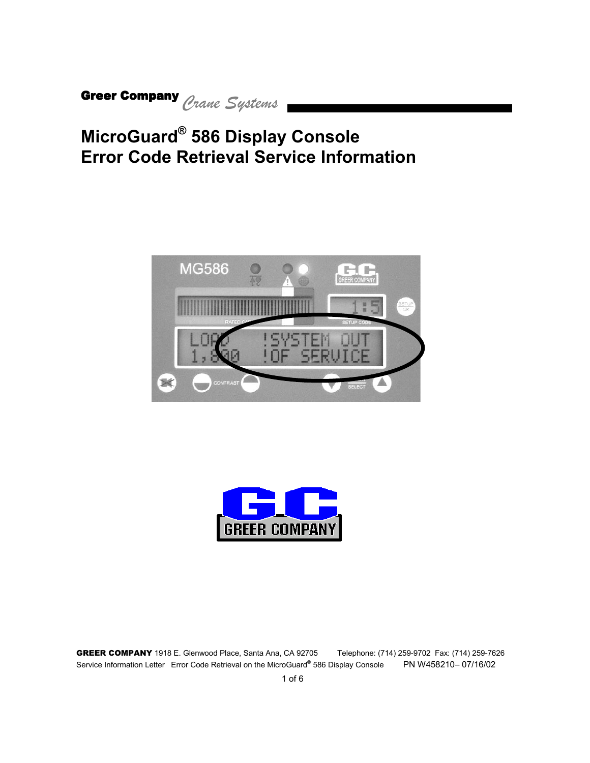### **MicroGuard® 586 Display Console [Error Code Retrieval Service Information](#page-5-0)**



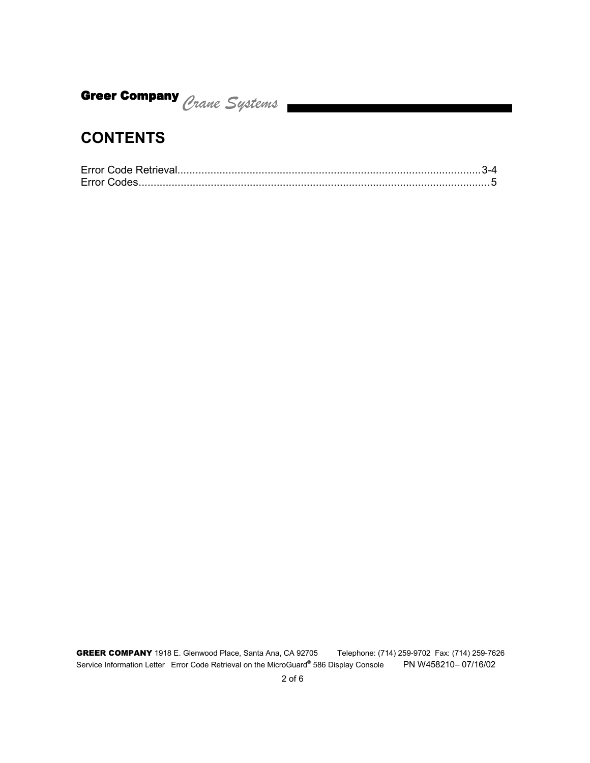#### **CONTENTS**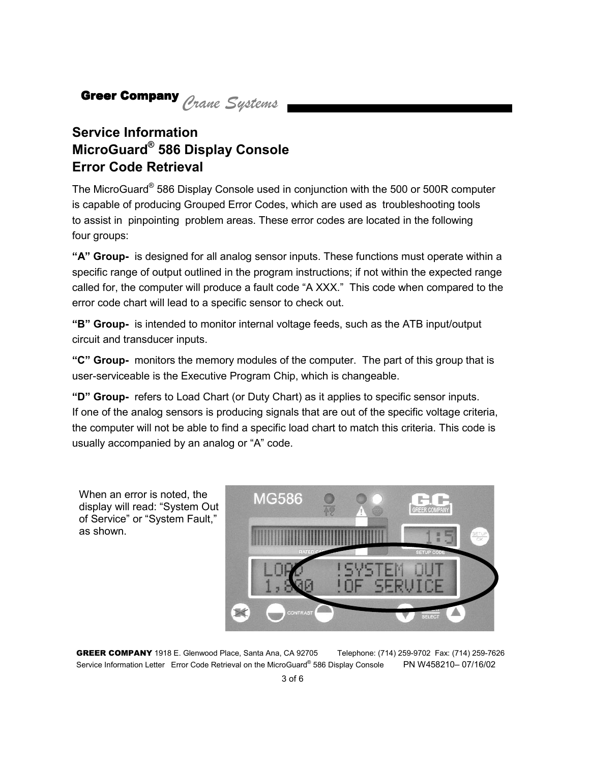#### **Service Information MicroGuard® 586 Display Console Error Code Retrieval**

The MicroGuard® 586 Display Console used in conjunction with the 500 or 500R computer is capable of producing Grouped Error Codes, which are used as troubleshooting tools to assist in pinpointing problem areas. These error codes are located in the following four groups:

**"A" Group-** is designed for all analog sensor inputs. These functions must operate within a specific range of output outlined in the program instructions; if not within the expected range called for, the computer will produce a fault code "A XXX." This code when compared to the error code chart will lead to a specific sensor to check out.

**"B" Group-** is intended to monitor internal voltage feeds, such as the ATB input/output circuit and transducer inputs.

**"C" Group-** monitors the memory modules of the computer. The part of this group that is user-serviceable is the Executive Program Chip, which is changeable.

**"D" Group-** refers to Load Chart (or Duty Chart) as it applies to specific sensor inputs. If one of the analog sensors is producing signals that are out of the specific voltage criteria, the computer will not be able to find a specific load chart to match this criteria. This code is usually accompanied by an analog or "A" code.

When an error is noted, the display will read: "System Out of Service" or "System Fault," as shown.



GREER COMPANY 1918 E. Glenwood Place, Santa Ana, CA 92705 Telephone: (714) 259-9702 Fax: (714) 259-7626 Service Information Letter Error Code Retrieval on the MicroGuard® 586 Display Console PN W458210– 07/16/02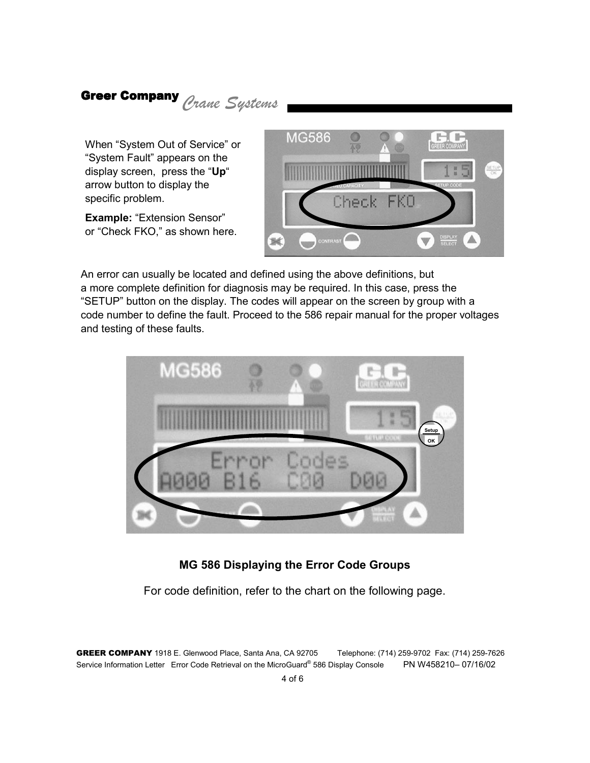When "System Out of Service" or "System Fault" appears on the display screen, press the "**Up**" arrow button to display the specific problem.

**Example:** "Extension Sensor" or "Check FKO," as shown here.



An error can usually be located and defined using the above definitions, but a more complete definition for diagnosis may be required. In this case, press the "SETUP" button on the display. The codes will appear on the screen by group with a code number to define the fault. Proceed to the 586 repair manual for the proper voltages and testing of these faults.



#### **MG 586 Displaying the Error Code Groups**

For code definition, refer to the chart on the following page.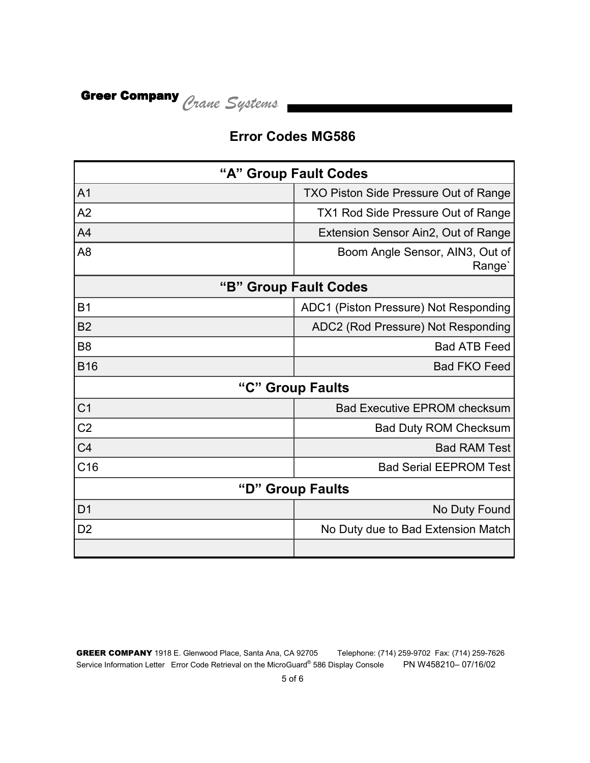#### **Error Codes MG586**

| "A" Group Fault Codes           |                                                       |  |  |
|---------------------------------|-------------------------------------------------------|--|--|
| A <sub>1</sub>                  | TXO Piston Side Pressure Out of Range                 |  |  |
| A2                              | TX1 Rod Side Pressure Out of Range                    |  |  |
| A <sub>4</sub>                  | Extension Sensor Ain2, Out of Range                   |  |  |
| A <sub>8</sub>                  | Boom Angle Sensor, AIN3, Out of<br>Range <sup>'</sup> |  |  |
| "B"<br><b>Group Fault Codes</b> |                                                       |  |  |
| <b>B1</b>                       | ADC1 (Piston Pressure) Not Responding                 |  |  |
| <b>B2</b>                       | ADC2 (Rod Pressure) Not Responding                    |  |  |
| B <sub>8</sub>                  | <b>Bad ATB Feed</b>                                   |  |  |
| <b>B16</b>                      | <b>Bad FKO Feed</b>                                   |  |  |
| "C" Group Faults                |                                                       |  |  |
| C <sub>1</sub>                  | <b>Bad Executive EPROM checksum</b>                   |  |  |
| C <sub>2</sub>                  | <b>Bad Duty ROM Checksum</b>                          |  |  |
| C <sub>4</sub>                  | <b>Bad RAM Test</b>                                   |  |  |
| C16                             | <b>Bad Serial EEPROM Test</b>                         |  |  |
| "D"<br><b>Group Faults</b>      |                                                       |  |  |
| D <sub>1</sub>                  | No Duty Found                                         |  |  |
| D <sub>2</sub>                  | No Duty due to Bad Extension Match                    |  |  |
|                                 |                                                       |  |  |